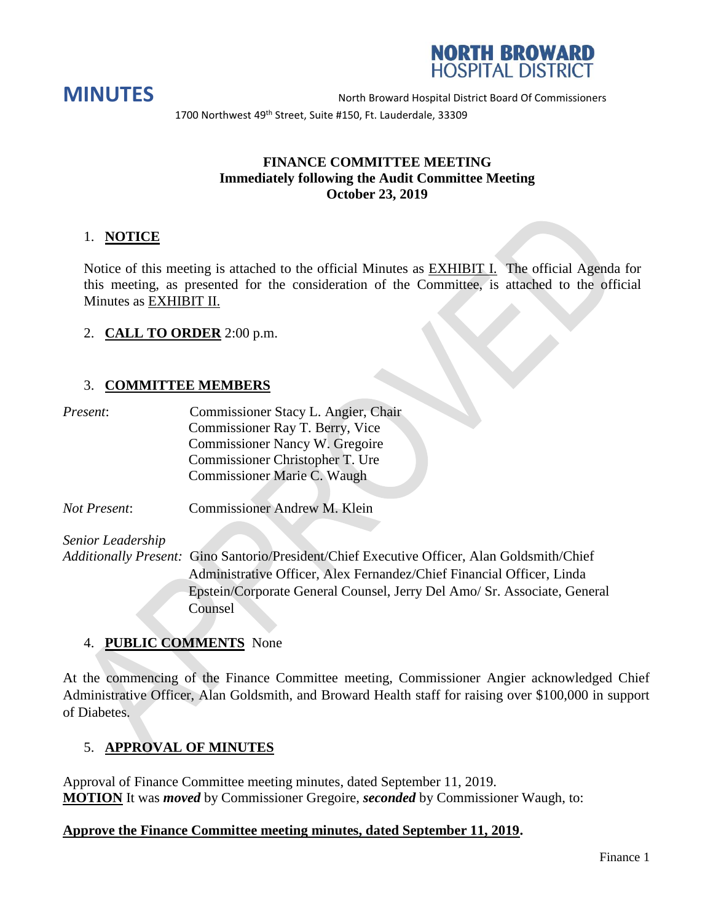



**MINUTES** North Broward Hospital District Board Of Commissioners 1700 Northwest 49<sup>th</sup> Street, Suite #150, Ft. Lauderdale, 33309

## **FINANCE COMMITTEE MEETING Immediately following the Audit Committee Meeting October 23, 2019**

## 1. **NOTICE**

Notice of this meeting is attached to the official Minutes as EXHIBIT I. The official Agenda for this meeting, as presented for the consideration of the Committee, is attached to the official Minutes as EXHIBIT II.

## 2. **CALL TO ORDER** 2:00 p.m.

## 3. **COMMITTEE MEMBERS**

| Present: | Commissioner Stacy L. Angier, Chair |
|----------|-------------------------------------|
|          | Commissioner Ray T. Berry, Vice     |
|          | Commissioner Nancy W. Gregoire      |
|          | Commissioner Christopher T. Ure     |
|          | Commissioner Marie C. Waugh         |
|          |                                     |

*Not Present*: Commissioner Andrew M. Klein

*Senior Leadership*

*Additionally Present:* Gino Santorio/President/Chief Executive Officer, Alan Goldsmith/Chief Administrative Officer, Alex Fernandez/Chief Financial Officer, Linda Epstein/Corporate General Counsel, Jerry Del Amo/ Sr. Associate, General Counsel

## 4. **PUBLIC COMMENTS** None

At the commencing of the Finance Committee meeting, Commissioner Angier acknowledged Chief Administrative Officer, Alan Goldsmith, and Broward Health staff for raising over \$100,000 in support of Diabetes.

## 5. **APPROVAL OF MINUTES**

Approval of Finance Committee meeting minutes, dated September 11, 2019. **MOTION** It was *moved* by Commissioner Gregoire, *seconded* by Commissioner Waugh, to:

## **Approve the Finance Committee meeting minutes, dated September 11, 2019.**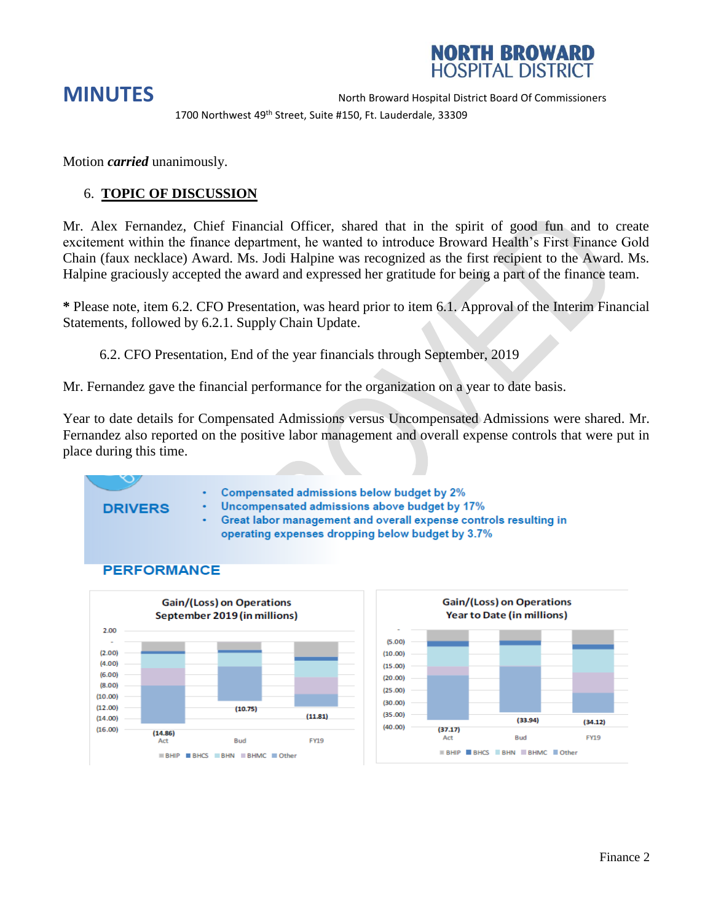

1700 Northwest 49<sup>th</sup> Street, Suite #150, Ft. Lauderdale, 33309

Motion *carried* unanimously.

## 6. **TOPIC OF DISCUSSION**

Mr. Alex Fernandez, Chief Financial Officer, shared that in the spirit of good fun and to create excitement within the finance department, he wanted to introduce Broward Health's First Finance Gold Chain (faux necklace) Award. Ms. Jodi Halpine was recognized as the first recipient to the Award. Ms. Halpine graciously accepted the award and expressed her gratitude for being a part of the finance team.

**\*** Please note, item 6.2. CFO Presentation, was heard prior to item 6.1. Approval of the Interim Financial Statements, followed by 6.2.1. Supply Chain Update.

6.2. CFO Presentation, End of the year financials through September, 2019

Mr. Fernandez gave the financial performance for the organization on a year to date basis.

Year to date details for Compensated Admissions versus Uncompensated Admissions were shared. Mr. Fernandez also reported on the positive labor management and overall expense controls that were put in place during this time.

## **DRIVERS**

- Compensated admissions below budget by 2%
- Uncompensated admissions above budget by 17%
	- Great labor management and overall expense controls resulting in operating expenses dropping below budget by 3.7%

## **PERFORMANCE**

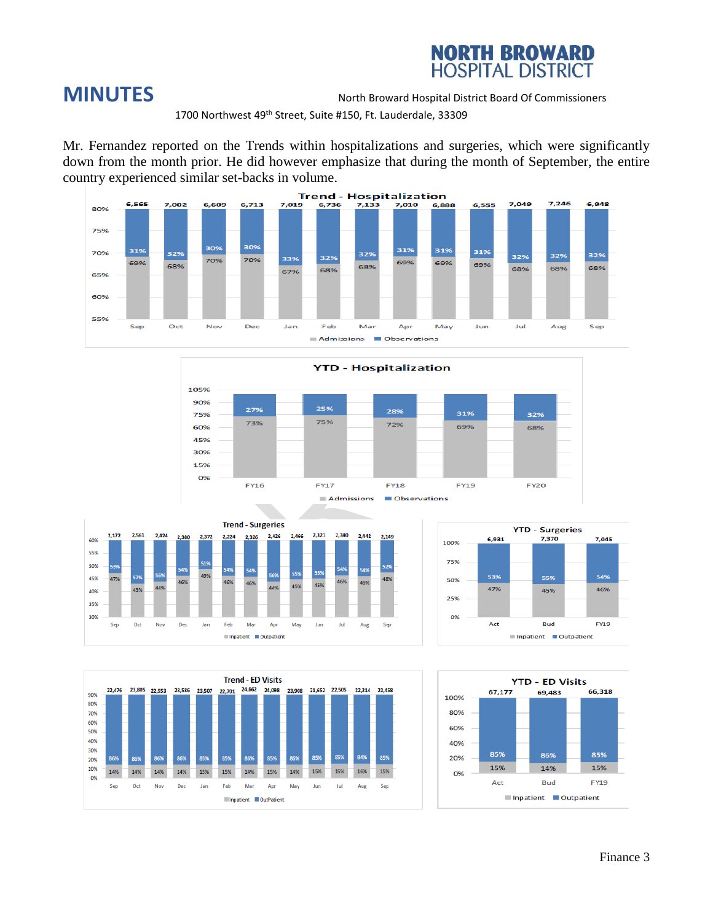

1700 Northwest 49<sup>th</sup> Street, Suite #150, Ft. Lauderdale, 33309

Mr. Fernandez reported on the Trends within hospitalizations and surgeries, which were significantly down from the month prior. He did however emphasize that during the month of September, the entire country experienced similar set-backs in volume.











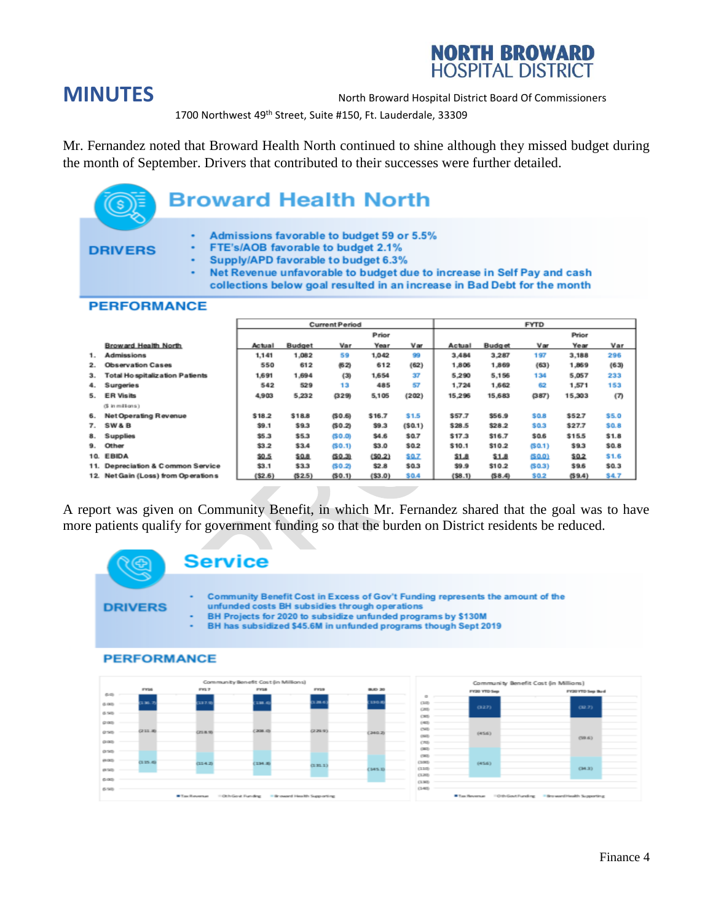# **NORTH BROWARD**<br>HOSPITAL DISTRICT

**MINUTES** North Broward Hospital District Board Of Commissioners

1700 Northwest 49<sup>th</sup> Street, Suite #150, Ft. Lauderdale, 33309

Mr. Fernandez noted that Broward Health North continued to shine although they missed budget during the month of September. Drivers that contributed to their successes were further detailed.

### **Broward Health North** Admissions favorable to budget 59 or 5.5% FTE's/AOB favorable to budget 2.1% **DRIVERS** Supply/APD favorable to budget 6.3% Net Revenue unfavorable to budget due to increase in Self Pay and cash collections below goal resulted in an increase in Bad Debt for the month **PERFORMANCE Current Period FYTD** Prior Prior **Broward Health North** Actual **Budget** Var Year Var Actual **Budget** Var Year Var 1. **Admissions** 1,141 1,082 59 1,042 99 3,484 3,287 197 3,188 296  $2.$ **Observation Cases** 550 612  $(62)$ 612  $(62)$ 1,806 1,869  $(63)$ 1,869  $(63)$ 3. **Total Ho spitalization Patients** 1,691 1,694  $(3)$ 1,654 37 5,290 5,156 134 5,057 233 4. Surgeries 542 485 57 1,724 1,662 62 1,571 153 529  $13$ 5. ER Visits 4,903 5,232  $(329)$ 5,105  $(202)$ 15,296 15,683  $(387)$ 15,303  $(7)$ (\$ in millions) \$57.7 \$56.9 6. Net Operating Revenue \$18.2 \$18.8  $(50.6)$ \$16.7  $$1.5$ \$0.8 \$52.7 \$5.0 7. SW&B  $$9.1$ \$9.3  $(50.2)$ \$9.3  $(50.1)$ \$28.5 \$28.2 \$0.3 \$27.7 \$0.8 8. **Supplies** \$5.3 \$5.3  $(50.0)$ \$4.6 \$0.7 \$17.3 \$16.7 \$0.6 \$15.5  $$1.8$ 9. Other  $$3.2$ \$3.4  $(50.1)$ \$3.0  $$0.2$ \$10.1 \$10.2  $(50.1)$ \$9.3  $$0.8$ 10. EBIDA  $$0.5$ \$0.8  $(50.3)$  $(50.2)$ \$0.7  $$1.8$  $$1.8$ (\$0.0)  $$0.2$  $$1.6$ 11. Depreciation & Common Service  $$3.1$ \$33  $(50.2)$  $$2.8$  $$0.3$ \$9.9  $$10.2$  $(50.3)$ \$9.6  $$0.3$ 12. Net Gain (Loss) from Operations  $( $2.6)$  $( $8.1)$  $(58.4)$  $(59.4)$  $(52.5)$  $(50.1)$  $( $3.0)$ \$0.4 \$0.2 \$4.7

A report was given on Community Benefit, in which Mr. Fernandez shared that the goal was to have more patients qualify for government funding so that the burden on District residents be reduced.

**Service** Community Benefit Cost in Excess of Gov't Funding represents the amount of the **DRIVERS** unfunded costs BH subsidies through operations BH Projects for 2020 to subsidize unfunded programs by \$130M BH has subsidized \$45.6M in unfunded programs though Sept 2019 **PERFORMANCE** 

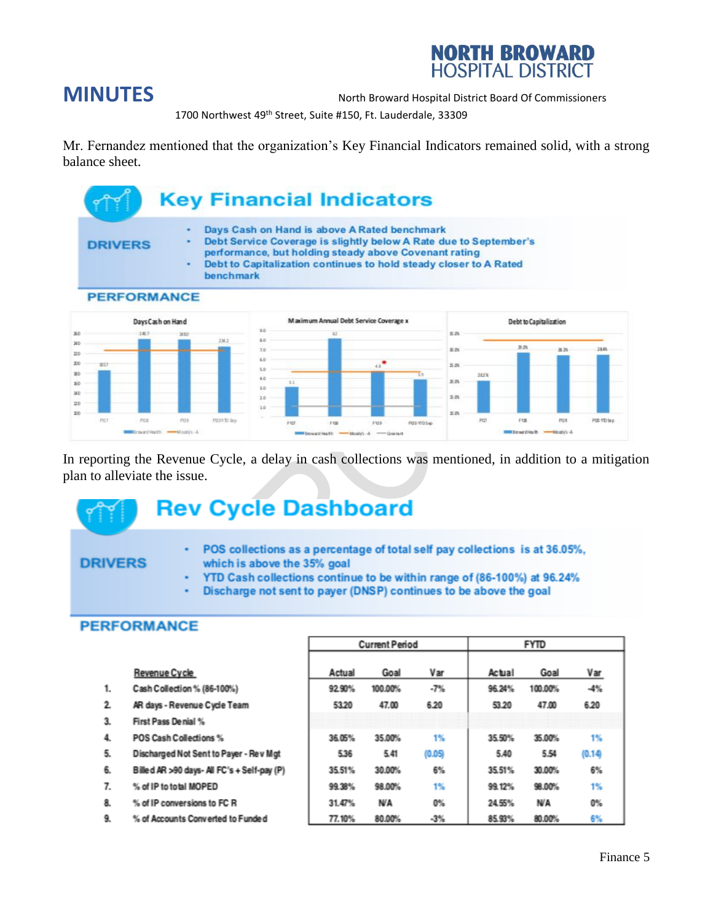

1700 Northwest 49<sup>th</sup> Street, Suite #150, Ft. Lauderdale, 33309

Mr. Fernandez mentioned that the organization's Key Financial Indicators remained solid, with a strong balance sheet.



In reporting the Revenue Cycle, a delay in cash collections was mentioned, in addition to a mitigation plan to alleviate the issue.

## **Rev Cycle Dashboard**

## **DRIVERS**

- ×, POS collections as a percentage of total self pay collections is at 36.05%, which is above the 35% goal
- YTD Cash collections continue to be within range of (86-100%) at 96.24% .
- Discharge not sent to payer (DNSP) continues to be above the goal ٠

|    |                                             | <b>Current Period</b> |         |        |        |         |        |
|----|---------------------------------------------|-----------------------|---------|--------|--------|---------|--------|
|    | Revenue Cycle                               | Actual                | Goal    | Var    | Actual | Goal    | Var    |
| 1. | Cash Collection % (86-100%)                 | 92.90%                | 100.00% | $-7%$  | 96.24% | 100.00% | $-4%$  |
| 2. | AR days - Revenue Cycle Team                | 53.20                 | 47.00   | 6.20   | 53.20  | 47.00   | 6.20   |
| 3. | First Pass Denial %                         |                       |         |        |        |         |        |
| 4. | POS Cash Collections %                      | 36.05%                | 35.00%  | 1%     | 35.50% | 35.00%  | 1%     |
| 5. | Discharged Not Sent to Payer - Rev Mgt      | 5.36                  | 5.41    | (0.05) | 5.40   | 5.54    | (0.14) |
| 6. | Billed AR >90 days- All FC's + Self-pay (P) | 35.51%                | 30.00%  | 6%     | 35.51% | 30.00%  | 6%     |
| 7. | % of IP to total MOPED                      | 99.38%                | 98.00%  | 1%     | 99.12% | 98.00%  | 1%     |
| 8. | % of IP conversions to FC R                 | 31.47%                | N/A     | 0%     | 24.55% | N/A     | 0%     |
| 9. | % of Accounts Converted to Funded           | 77.10%                | 80.00%  | $-3%$  | 85.93% | 80.00%  | 6%     |

## **PERFORMANCE**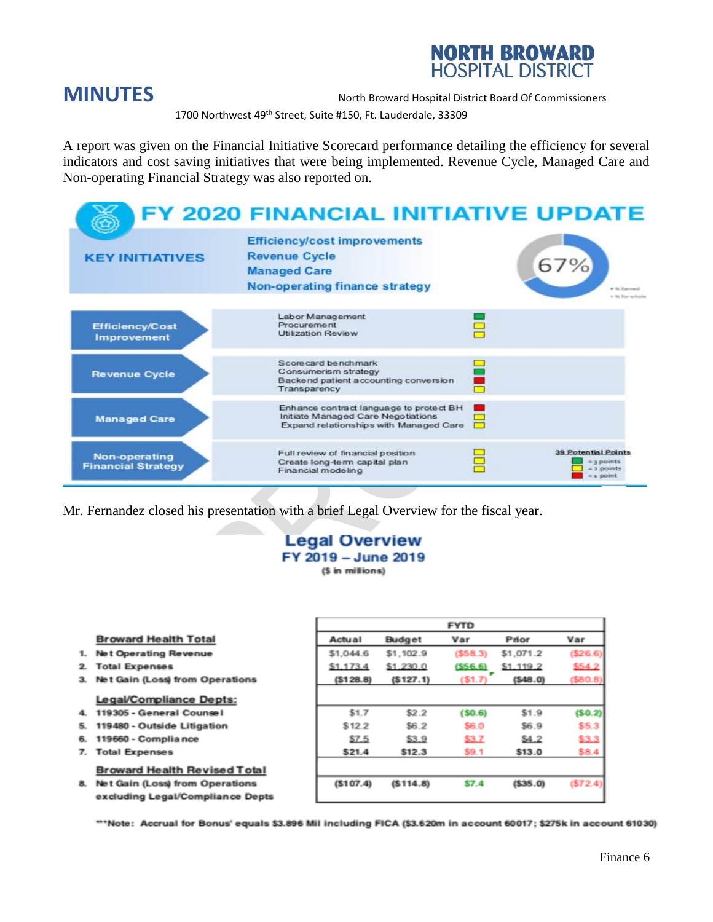

1700 Northwest 49<sup>th</sup> Street, Suite #150, Ft. Lauderdale, 33309

A report was given on the Financial Initiative Scorecard performance detailing the efficiency for several indicators and cost saving initiatives that were being implemented. Revenue Cycle, Managed Care and Non-operating Financial Strategy was also reported on.



Mr. Fernandez closed his presentation with a brief Legal Overview for the fiscal year.

### **Legal Overview** FY 2019 - June 2019 (\$ in millions)

|    |                                        | <b>FYTD</b> |           |         |           |          |  |
|----|----------------------------------------|-------------|-----------|---------|-----------|----------|--|
|    | <b>Broward Health Total</b>            | Actual      | Budget    | Var     | Prior     | Var      |  |
| 1. | Net Operating Revenue                  | \$1,044.6   | \$1,102.9 | (558.3) | \$1,071.2 | (526.6)  |  |
| 2  | <b>Total Expenses</b>                  | \$1.173.4   | \$1,230.0 | (556.6) | \$1,119.2 | \$54.2   |  |
| 3. | <b>Net Gain (Loss) from Operations</b> | (S128.8)    | (5127.1)  | (\$1.7) | (548.0)   | ( \$80.8 |  |
|    | Legal/Compliance Depts:                |             |           |         |           |          |  |
| 4. | 119305 - General Counsel               | \$1.7       | \$2.2     | (50.6)  | \$1.9     | (S0.2)   |  |
| 5. | 119480 - Outside Litigation            | \$122       | \$6.2     | \$6.0   | \$6.9     | \$5.3    |  |
| 6. | 119660 - Compliance                    | \$7.5       | \$3.9     | \$3.7   | \$4.2     | \$3.3    |  |
| 7. | <b>Total Expenses</b>                  | \$21.4      | \$12.3    | \$9.1   | \$13.0    | \$8.4    |  |
|    | <b>Broward Health Revised Total</b>    |             |           |         |           |          |  |
| 8. | <b>Net Gain (Loss) from Operations</b> | (S107.4)    | (S114.8)  | \$7.4   | (535.0)   | (572.4   |  |
|    | excluding Legal/Compliance Depts       |             |           |         |           |          |  |

\*\*\*Note: Accrual for Bonus' equals \$3.896 Mil including FICA (\$3.620m in account 60017; \$275k in account 61030)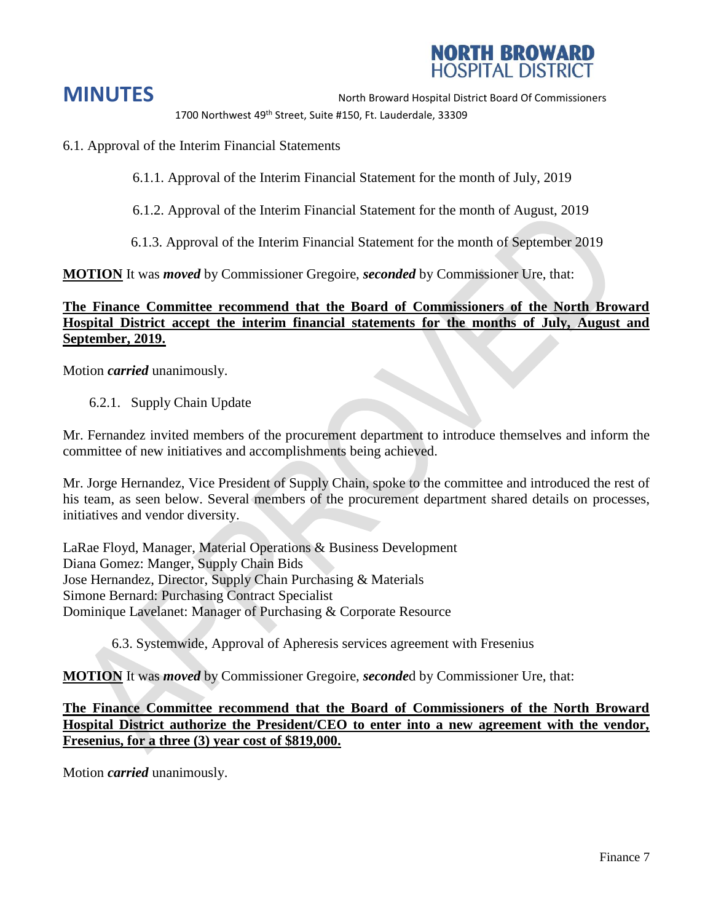

1700 Northwest 49<sup>th</sup> Street, Suite #150, Ft. Lauderdale, 33309

6.1. Approval of the Interim Financial Statements

6.1.1. Approval of the Interim Financial Statement for the month of July, 2019

6.1.2. Approval of the Interim Financial Statement for the month of August, 2019

6.1.3. Approval of the Interim Financial Statement for the month of September 2019

**MOTION** It was *moved* by Commissioner Gregoire, *seconded* by Commissioner Ure, that:

## **The Finance Committee recommend that the Board of Commissioners of the North Broward Hospital District accept the interim financial statements for the months of July, August and September, 2019.**

Motion *carried* unanimously.

6.2.1. Supply Chain Update

Mr. Fernandez invited members of the procurement department to introduce themselves and inform the committee of new initiatives and accomplishments being achieved.

Mr. Jorge Hernandez, Vice President of Supply Chain, spoke to the committee and introduced the rest of his team, as seen below. Several members of the procurement department shared details on processes, initiatives and vendor diversity.

LaRae Floyd, Manager, Material Operations & Business Development Diana Gomez: Manger, Supply Chain Bids Jose Hernandez, Director, Supply Chain Purchasing & Materials Simone Bernard: Purchasing Contract Specialist Dominique Lavelanet: Manager of Purchasing & Corporate Resource

6.3. Systemwide, Approval of Apheresis services agreement with Fresenius

**MOTION** It was *moved* by Commissioner Gregoire, *seconde*d by Commissioner Ure, that:

**The Finance Committee recommend that the Board of Commissioners of the North Broward Hospital District authorize the President/CEO to enter into a new agreement with the vendor, Fresenius, for a three (3) year cost of \$819,000.**

Motion *carried* unanimously.